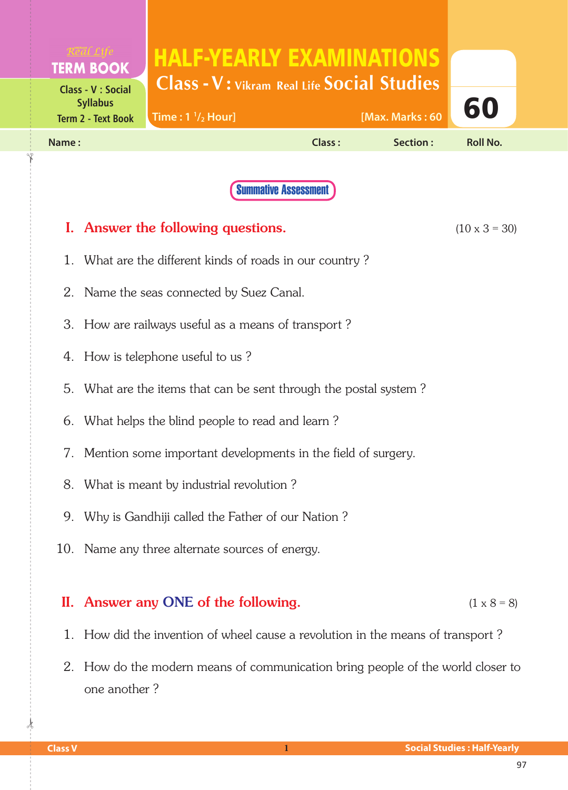|       | <b>TERM BOOK</b>                                                     | <b>HALF-YEARLY EXAMINATIONS</b>                       |                             |                 |                      |  |
|-------|----------------------------------------------------------------------|-------------------------------------------------------|-----------------------------|-----------------|----------------------|--|
|       | <b>Class - V : Social</b><br><b>Syllabus</b>                         | <b>Class - V: Vikram Real Life Social Studies</b>     |                             |                 | 60                   |  |
|       | <b>Term 2 - Text Book</b>                                            | Time: $1 \frac{1}{2}$ Hour]                           |                             | [Max. Marks: 60 |                      |  |
| Name: |                                                                      |                                                       | Class:                      | Section:        | <b>Roll No.</b>      |  |
|       |                                                                      |                                                       | <b>Summative Assessment</b> |                 |                      |  |
|       |                                                                      |                                                       |                             |                 |                      |  |
|       |                                                                      | I. Answer the following questions.                    |                             |                 | $(10 \times 3 = 30)$ |  |
| 1.    |                                                                      | What are the different kinds of roads in our country? |                             |                 |                      |  |
| 2.    |                                                                      | Name the seas connected by Suez Canal.                |                             |                 |                      |  |
|       | 3. How are railways useful as a means of transport?                  |                                                       |                             |                 |                      |  |
|       | 4. How is telephone useful to us?                                    |                                                       |                             |                 |                      |  |
|       | 5.<br>What are the items that can be sent through the postal system? |                                                       |                             |                 |                      |  |
|       | 6. What helps the blind people to read and learn?                    |                                                       |                             |                 |                      |  |
|       | 7. Mention some important developments in the field of surgery.      |                                                       |                             |                 |                      |  |
|       | 8. What is meant by industrial revolution?                           |                                                       |                             |                 |                      |  |
| 9.    |                                                                      | Why is Gandhiji called the Father of our Nation?      |                             |                 |                      |  |
|       |                                                                      | 10. Name any three alternate sources of energy.       |                             |                 |                      |  |
|       |                                                                      |                                                       |                             |                 |                      |  |
|       |                                                                      | II. Answer any ONE of the following.                  |                             |                 | $(1 \times 8 = 8)$   |  |

- 1. How did the invention of wheel cause a revolution in the means of transport ?
- 2. How do the modern means of communication bring people of the world closer to one another ?

 $\frac{1}{2}$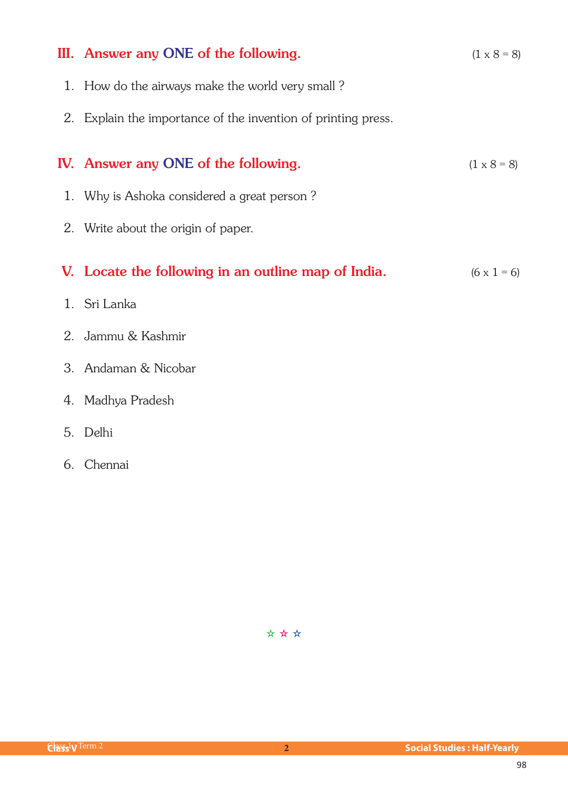| III. Answer any ONE of the following.                         | $(1 \times 8 = 8)$ |
|---------------------------------------------------------------|--------------------|
| 1. How do the airways make the world very small?              |                    |
| 2. Explain the importance of the invention of printing press. |                    |
| IV. Answer any ONE of the following.                          | $(1 \times 8 = 8)$ |
|                                                               |                    |
| 1. Why is Ashoka considered a great person?                   |                    |
| 2. Write about the origin of paper.                           |                    |
|                                                               |                    |
| V. Locate the following in an outline map of India.           | $(6 \times 1 = 6)$ |
| 1. Sri Lanka                                                  |                    |
| 2. Jammu & Kashmir                                            |                    |
| 3. Andaman & Nicobar                                          |                    |
| 4. Madhya Pradesh                                             |                    |

- 5. Delhi
- 6. Chennai

✫ ✫ ✫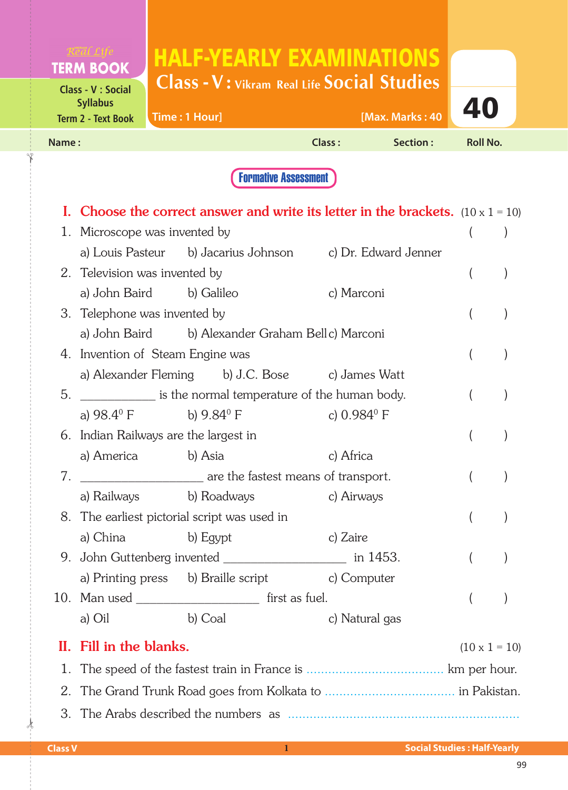| <b>TERM BOOK</b>                                                   | <b>HALF-YEARLY EXAMINATIONS</b><br>Class - V: Vikram Real Life Social Studies |               |                 |                 |
|--------------------------------------------------------------------|-------------------------------------------------------------------------------|---------------|-----------------|-----------------|
| Class - V : Social<br><b>Syllabus</b><br><b>Term 2 - Text Book</b> | Time: 1 Hour]                                                                 |               | [Max. Marks: 40 | 40              |
| Name:                                                              |                                                                               | <b>Class:</b> | Section :       | <b>Roll No.</b> |
|                                                                    |                                                                               |               |                 |                 |

|    |                                                       |         | <b>I.</b> Choose the correct answer and write its letter in the brackets. $(10 \times 1 = 10)$ |                      |  |
|----|-------------------------------------------------------|---------|------------------------------------------------------------------------------------------------|----------------------|--|
|    | 1. Microscope was invented by                         |         |                                                                                                |                      |  |
|    |                                                       |         | a) Louis Pasteur b) Jacarius Johnson c) Dr. Edward Jenner                                      |                      |  |
|    | 2. Television was invented by                         |         |                                                                                                |                      |  |
|    | a) John Baird b) Galileo                              |         | c) Marconi                                                                                     |                      |  |
|    | 3. Telephone was invented by                          |         |                                                                                                |                      |  |
|    |                                                       |         | a) John Baird b) Alexander Graham Bell c) Marconi                                              |                      |  |
|    | 4. Invention of Steam Engine was                      |         |                                                                                                |                      |  |
|    |                                                       |         | a) Alexander Fleming b) J.C. Bose c) James Watt                                                |                      |  |
| 5. |                                                       |         | is the normal temperature of the human body.                                                   |                      |  |
|    | a) $98.4^{\circ}$ F b) $9.84^{\circ}$ F               |         | c) $0.984^{\circ}$ F                                                                           |                      |  |
|    | 6. Indian Railways are the largest in                 |         |                                                                                                |                      |  |
|    | a) America b) Asia                                    |         | c) Africa                                                                                      |                      |  |
| 7. |                                                       |         | are the fastest means of transport.                                                            |                      |  |
|    |                                                       |         | a) Railways b) Roadways c) Airways                                                             |                      |  |
|    | 8. The earliest pictorial script was used in          |         |                                                                                                |                      |  |
|    | a) China b) Egypt                                     |         | c) Zaire                                                                                       |                      |  |
| 9. |                                                       |         |                                                                                                |                      |  |
|    |                                                       |         | a) Printing press b) Braille script c) Computer                                                |                      |  |
|    | 10. Man used _________________________ first as fuel. |         |                                                                                                |                      |  |
|    | a) Oil                                                | b) Coal | c) Natural gas                                                                                 |                      |  |
|    | II. Fill in the blanks.                               |         |                                                                                                | $(10 \times 1 = 10)$ |  |
| 1. |                                                       |         |                                                                                                |                      |  |
| 2. |                                                       |         |                                                                                                |                      |  |
| 3. |                                                       |         |                                                                                                |                      |  |

✁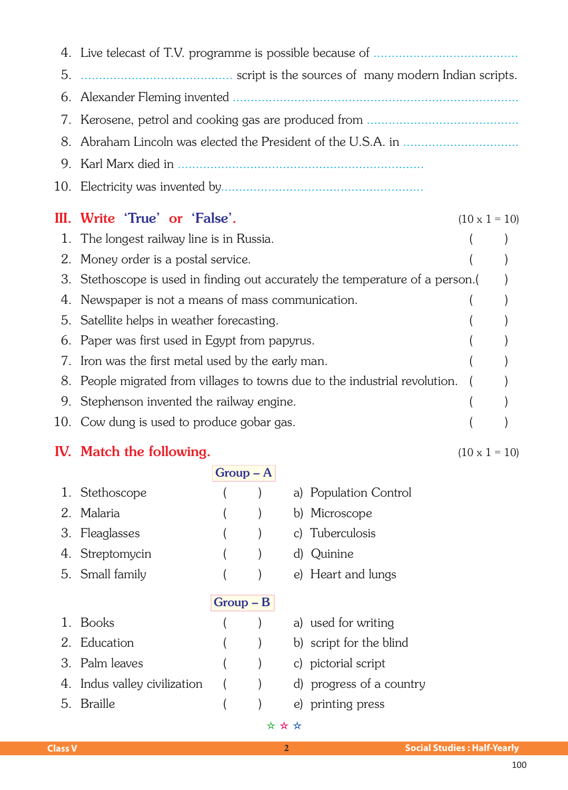| 5. |                                                                             |                      |  |
|----|-----------------------------------------------------------------------------|----------------------|--|
|    |                                                                             |                      |  |
| 7. |                                                                             |                      |  |
| 8. |                                                                             |                      |  |
| 9. |                                                                             |                      |  |
|    |                                                                             |                      |  |
|    | III. Write 'True' or 'False'.                                               | $(10 \times 1 = 10)$ |  |
| 1. | The longest railway line is in Russia.                                      |                      |  |
| 2. | Money order is a postal service.                                            |                      |  |
| 3. | Stethoscope is used in finding out accurately the temperature of a person.( |                      |  |
| 4. | Newspaper is not a means of mass communication.                             |                      |  |
| 5. | Satellite helps in weather forecasting.                                     |                      |  |
| 6. | Paper was first used in Egypt from papyrus.                                 |                      |  |
| 7. | Iron was the first metal used by the early man.                             |                      |  |
| 8. | People migrated from villages to towns due to the industrial revolution.    |                      |  |
| 9. | Stephenson invented the railway engine.                                     |                      |  |
|    | 10. Cow dung is used to produce gobar gas.                                  |                      |  |

## IV. Match the following. (10 x 1 = 10)

|                              | $Group-A$   |                          |
|------------------------------|-------------|--------------------------|
| 1. Stethoscope               |             | a) Population Control    |
| Malaria<br>$2^{\circ}$       |             | b) Microscope            |
| 3. Fleaglasses               |             | c) Tuberculosis          |
| 4. Streptomycin              |             | d) Quinine               |
| 5. Small family              |             | e) Heart and lungs       |
|                              | $Group - B$ |                          |
|                              |             |                          |
| 1. Books                     |             | a) used for writing      |
| Education                    |             | b) script for the blind  |
| 3. Palm leaves               |             | c) pictorial script      |
| 4. Indus valley civilization |             | d) progress of a country |
| <b>Braille</b><br>5.         |             | e) printing press        |